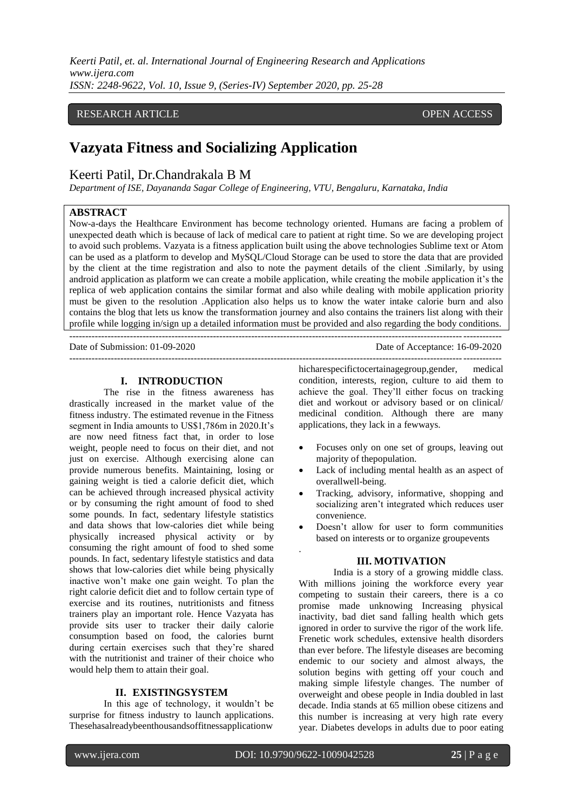*Keerti Patil, et. al. International Journal of Engineering Research and Applications www.ijera.com ISSN: 2248-9622, Vol. 10, Issue 9, (Series-IV) September 2020, pp. 25-28*

# RESEARCH ARTICLE **CONSERVERS** OPEN ACCESS

# **Vazyata Fitness and Socializing Application**

# Keerti Patil, Dr.Chandrakala B M

*Department of ISE, Dayananda Sagar College of Engineering, VTU, Bengaluru, Karnataka, India* 

# **ABSTRACT**

Now-a-days the Healthcare Environment has become technology oriented. Humans are facing a problem of unexpected death which is because of lack of medical care to patient at right time. So we are developing project to avoid such problems. Vazyata is a fitness application built using the above technologies Sublime text or Atom can be used as a platform to develop and MySQL/Cloud Storage can be used to store the data that are provided by the client at the time registration and also to note the payment details of the client .Similarly, by using android application as platform we can create a mobile application, while creating the mobile application it's the replica of web application contains the similar format and also while dealing with mobile application priority must be given to the resolution .Application also helps us to know the water intake calorie burn and also contains the blog that lets us know the transformation journey and also contains the trainers list along with their profile while logging in/sign up a detailed information must be provided and also regarding the body conditions.

---------------------------------------------------------------------------------------------------------------------------------------

---------------------------------------------------------------------------------------------------------------------------------------

Date of Submission: 01-09-2020 Date of Acceptance: 16-09-2020

### **I. INTRODUCTION**

The rise in the fitness awareness has drastically increased in the market value of the fitness industry. The estimated revenue in the Fitness segment in India amounts to US\$1,786m in 2020.It's are now need fitness fact that, in order to lose weight, people need to focus on their diet, and not just on exercise. Although exercising alone can provide numerous benefits. Maintaining, losing or gaining weight is tied a calorie deficit diet, which can be achieved through increased physical activity or by consuming the right amount of food to shed some pounds. In fact, sedentary lifestyle statistics and data shows that low-calories diet while being physically increased physical activity or by consuming the right amount of food to shed some pounds. In fact, sedentary lifestyle statistics and data shows that low-calories diet while being physically inactive won't make one gain weight. To plan the right calorie deficit diet and to follow certain type of exercise and its routines, nutritionists and fitness trainers play an important role. Hence Vazyata has provide sits user to tracker their daily calorie consumption based on food, the calories burnt during certain exercises such that they're shared with the nutritionist and trainer of their choice who would help them to attain their goal.

### **II. EXISTINGSYSTEM**

In this age of technology, it wouldn't be surprise for fitness industry to launch applications. Thesehasalreadybeenthousandsoffitnessapplicationw

hicharespecifictocertainagegroup,gender, medical condition, interests, region, culture to aid them to achieve the goal. They'll either focus on tracking diet and workout or advisory based or on clinical/ medicinal condition. Although there are many applications, they lack in a fewways.

- Focuses only on one set of groups, leaving out majority of thepopulation.
- Lack of including mental health as an aspect of overallwell-being.
- Tracking, advisory, informative, shopping and socializing aren't integrated which reduces user convenience.
- Doesn't allow for user to form communities based on interests or to organize groupevents

### **III. MOTIVATION**

India is a story of a growing middle class. With millions joining the workforce every year competing to sustain their careers, there is a co promise made unknowing Increasing physical inactivity, bad diet sand falling health which gets ignored in order to survive the rigor of the work life. Frenetic work schedules, extensive health disorders than ever before. The lifestyle diseases are becoming endemic to our society and almost always, the solution begins with getting off your couch and making simple lifestyle changes. The number of overweight and obese people in India doubled in last decade. India stands at 65 million obese citizens and this number is increasing at very high rate every year. Diabetes develops in adults due to poor eating

.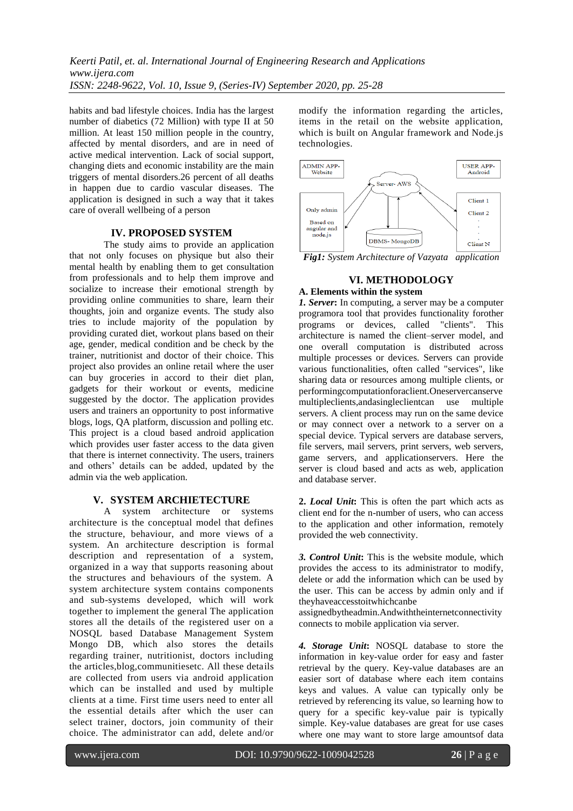habits and bad lifestyle choices. India has the largest number of diabetics (72 Million) with type II at 50 million. At least 150 million people in the country, affected by mental disorders, and are in need of active medical intervention. Lack of social support, changing diets and economic instability are the main triggers of mental disorders.26 percent of all deaths in happen due to cardio vascular diseases. The application is designed in such a way that it takes care of overall wellbeing of a person

## **IV. PROPOSED SYSTEM**

The study aims to provide an application that not only focuses on physique but also their mental health by enabling them to get consultation from professionals and to help them improve and socialize to increase their emotional strength by providing online communities to share, learn their thoughts, join and organize events. The study also tries to include majority of the population by providing curated diet, workout plans based on their age, gender, medical condition and be check by the trainer, nutritionist and doctor of their choice. This project also provides an online retail where the user can buy groceries in accord to their diet plan, gadgets for their workout or events, medicine suggested by the doctor. The application provides users and trainers an opportunity to post informative blogs, logs, QA platform, discussion and polling etc. This project is a cloud based android application which provides user faster access to the data given that there is internet connectivity. The users, trainers and others' details can be added, updated by the admin via the web application.

## **V. SYSTEM ARCHIETECTURE**

A system architecture or systems architecture is the conceptual model that defines the structure, behaviour, and more views of a system. An architecture description is formal description and representation of a system, organized in a way that supports reasoning about the structures and behaviours of the system. A system architecture system contains components and sub-systems developed, which will work together to implement the general The application stores all the details of the registered user on a NOSQL based Database Management System Mongo DB, which also stores the details regarding trainer, nutritionist, doctors including the articles,blog,communitiesetc. All these details are collected from users via android application which can be installed and used by multiple clients at a time. First time users need to enter all the essential details after which the user can select trainer, doctors, join community of their choice. The administrator can add, delete and/or

modify the information regarding the articles, items in the retail on the website application, which is built on Angular framework and Node.js technologies.



*Fig1: System Architecture of Vazyata application*

# **VI. METHODOLOGY**

# **A. Elements within the system**

*1. Server***:** In computing, a server may be a computer programora tool that provides functionality forother programs or devices, called "clients". This architecture is named the client–server model, and one overall computation is distributed across multiple processes or devices. Servers can provide various functionalities, often called "services", like sharing data or resources among multiple clients, or performingcomputationforaclient.Oneservercanserve multipleclients,andasingleclientcan use multiple servers. A client process may run on the same device or may connect over a network to a server on a special device. Typical servers are database servers, file servers, mail servers, print servers, web servers, game servers, and applicationservers. Here the server is cloud based and acts as web, application and database server.

**2.** *Local Unit***:** This is often the part which acts as client end for the n-number of users, who can access to the application and other information, remotely provided the web connectivity.

*3. Control Unit***:** This is the website module, which provides the access to its administrator to modify, delete or add the information which can be used by the user. This can be access by admin only and if theyhaveaccesstoitwhichcanbe

assignedbytheadmin.Andwiththeinternetconnectivity connects to mobile application via server.

*4. Storage Unit***:** NOSQL database to store the information in key-value order for easy and faster retrieval by the query. Key-value databases are an easier sort of database where each item contains keys and values. A value can typically only be retrieved by referencing its value, so learning how to query for a specific key-value pair is typically simple. Key-value databases are great for use cases where one may want to store large amountsof data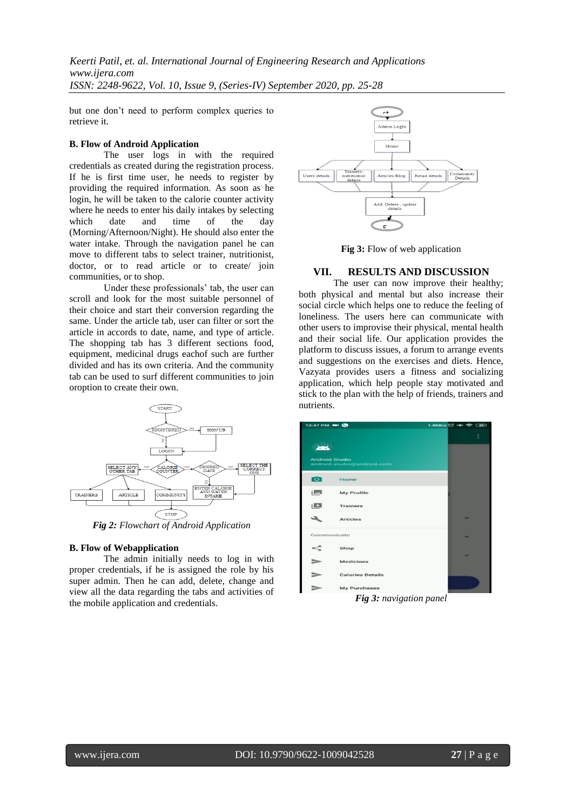*Keerti Patil, et. al. International Journal of Engineering Research and Applications www.ijera.com ISSN: 2248-9622, Vol. 10, Issue 9, (Series-IV) September 2020, pp. 25-28*

but one don't need to perform complex queries to retrieve it.

### **B. Flow of Android Application**

The user  $\log s$  in with the required credentials as created during the registration process. If he is first time user, he needs to register by providing the required information. As soon as he login, he will be taken to the calorie counter activity where he needs to enter his daily intakes by selecting which date and time of the day (Morning/Afternoon/Night). He should also enter the water intake. Through the navigation panel he can move to different tabs to select trainer, nutritionist, doctor, or to read article or to create/ join communities, or to shop.

Under these professionals' tab, the user can scroll and look for the most suitable personnel of their choice and start their conversion regarding the same. Under the article tab, user can filter or sort the article in accords to date, name, and type of article. The shopping tab has 3 different sections food, equipment, medicinal drugs eachof such are further divided and has its own criteria. And the community tab can be used to surf different communities to join oroption to create their own.



*Fig 2: Flowchart of Android Application*

### **B. Flow of Webapplication**

The admin initially needs to log in with proper credentials, if he is assigned the role by his super admin. Then he can add, delete, change and view all the data regarding the tabs and activities of the mobile application and credentials.



Fig 3: Flow of web application

### **VII. RESULTS AND DISCUSSION**

The user can now improve their healthy; both physical and mental but also increase their social circle which helps one to reduce the feeling of loneliness. The users here can communicate with other users to improvise their physical, mental health and their social life. Our application provides the platform to discuss issues, a forum to arrange events and suggestions on the exercises and diets. Hence, Vazyata provides users a fitness and socializing application, which help people stay motivated and stick to the plan with the help of friends, trainers and nutrients.

| $12:47$ PM $\rightarrow$ $\bullet$ |                                           | $1.8KB/s$ $\ominus$ $\leftrightarrow$ $\circledast$ $\circledast$ |   |   |
|------------------------------------|-------------------------------------------|-------------------------------------------------------------------|---|---|
| <b>Android Studio</b>              | android.studio@android.com                |                                                                   |   | Ξ |
| $\overline{\bullet}$               | Home                                      |                                                                   |   |   |
| صار                                | My Profile                                |                                                                   |   |   |
| $\Box$                             | <b>Trainers</b>                           |                                                                   |   |   |
|                                    | <b>Articles</b>                           |                                                                   |   |   |
| Communicate                        |                                           |                                                                   |   |   |
| <                                  | Shop                                      |                                                                   |   |   |
|                                    | <b>Medicines</b>                          |                                                                   | ۰ |   |
|                                    | <b>Calories Details</b>                   |                                                                   |   |   |
|                                    | My Purchases<br>$\cdots$<br>$\sim$<br>. . | ۰.                                                                |   |   |

*Fig 3: navigation panel*